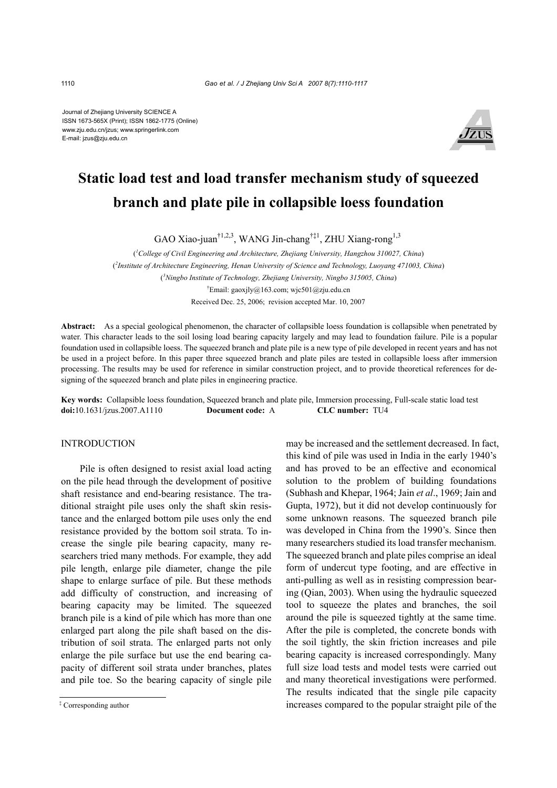Journal of Zhejiang University SCIENCE A ISSN 1673-565X (Print); ISSN 1862-1775 (Online) www.zju.edu.cn/jzus; www.springerlink.com E-mail: jzus@zju.edu.cn



# **Static load test and load transfer mechanism study of squeezed branch and plate pile in collapsible loess foundation**

GAO Xiao-juan<sup>†1,2,3</sup>, WANG Jin-chang<sup>†‡1</sup>, ZHU Xiang-rong<sup>1,3</sup>

( *1 College of Civil Engineering and Architecture, Zhejiang University, Hangzhou 310027, China*) ( *2 Institute of Architecture Engineering, Henan University of Science and Technology, Luoyang 471003, China*) ( *3 Ningbo Institute of Technology, Zhejiang University, Ningbo 315005, China*) † Email: gaoxjly@163.com; wjc501@zju.edu.cn Received Dec. 25, 2006; revision accepted Mar. 10, 2007

**Abstract:** As a special geological phenomenon, the character of collapsible loess foundation is collapsible when penetrated by water. This character leads to the soil losing load bearing capacity largely and may lead to foundation failure. Pile is a popular foundation used in collapsible loess. The squeezed branch and plate pile is a new type of pile developed in recent years and has not be used in a project before. In this paper three squeezed branch and plate piles are tested in collapsible loess after immersion processing. The results may be used for reference in similar construction project, and to provide theoretical references for designing of the squeezed branch and plate piles in engineering practice.

**Key words:** Collapsible loess foundation, Squeezed branch and plate pile, Immersion processing, Full-scale static load test **doi:**10.1631/jzus.2007.A1110 **Document code:** A **CLC number:** TU4

#### INTRODUCTION

Pile is often designed to resist axial load acting on the pile head through the development of positive shaft resistance and end-bearing resistance. The traditional straight pile uses only the shaft skin resistance and the enlarged bottom pile uses only the end resistance provided by the bottom soil strata. To increase the single pile bearing capacity, many researchers tried many methods. For example, they add pile length, enlarge pile diameter, change the pile shape to enlarge surface of pile. But these methods add difficulty of construction, and increasing of bearing capacity may be limited. The squeezed branch pile is a kind of pile which has more than one enlarged part along the pile shaft based on the distribution of soil strata. The enlarged parts not only enlarge the pile surface but use the end bearing capacity of different soil strata under branches, plates and pile toe. So the bearing capacity of single pile

may be increased and the settlement decreased. In fact, this kind of pile was used in India in the early 1940's and has proved to be an effective and economical solution to the problem of building foundations (Subhash and Khepar, 1964; Jain *et al*., 1969; Jain and Gupta, 1972), but it did not develop continuously for some unknown reasons. The squeezed branch pile was developed in China from the 1990's. Since then many researchers studied its load transfer mechanism. The squeezed branch and plate piles comprise an ideal form of undercut type footing, and are effective in anti-pulling as well as in resisting compression bearing (Qian, 2003). When using the hydraulic squeezed tool to squeeze the plates and branches, the soil around the pile is squeezed tightly at the same time. After the pile is completed, the concrete bonds with the soil tightly, the skin friction increases and pile bearing capacity is increased correspondingly. Many full size load tests and model tests were carried out and many theoretical investigations were performed. The results indicated that the single pile capacity increases compared to the popular straight pile of the

<sup>‡</sup> Corresponding author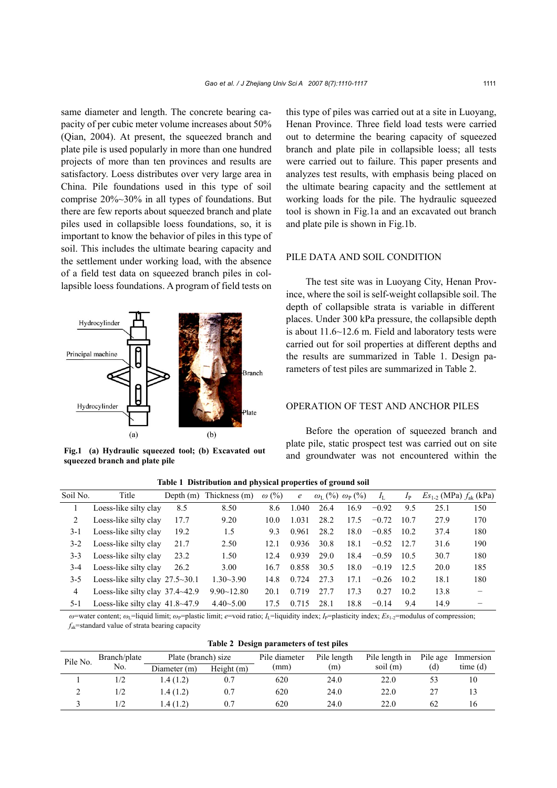same diameter and length. The concrete bearing capacity of per cubic meter volume increases about 50% (Qian, 2004). At present, the squeezed branch and plate pile is used popularly in more than one hundred projects of more than ten provinces and results are satisfactory. Loess distributes over very large area in China. Pile foundations used in this type of soil comprise 20%~30% in all types of foundations. But there are few reports about squeezed branch and plate piles used in collapsible loess foundations, so, it is important to know the behavior of piles in this type of soil. This includes the ultimate bearing capacity and the settlement under working load, with the absence of a field test data on squeezed branch piles in collapsible loess foundations. A program of field tests on



**Fig.1 (a) Hydraulic squeezed tool; (b) Excavated out squeezed branch and plate pile** 

this type of piles was carried out at a site in Luoyang, Henan Province. Three field load tests were carried out to determine the bearing capacity of squeezed branch and plate pile in collapsible loess; all tests were carried out to failure. This paper presents and analyzes test results, with emphasis being placed on the ultimate bearing capacity and the settlement at working loads for the pile. The hydraulic squeezed tool is shown in Fig.1a and an excavated out branch and plate pile is shown in Fig.1b.

#### PILE DATA AND SOIL CONDITION

The test site was in Luoyang City, Henan Province, where the soil is self-weight collapsible soil. The depth of collapsible strata is variable in different places. Under 300 kPa pressure, the collapsible depth is about 11.6~12.6 m. Field and laboratory tests were carried out for soil properties at different depths and the results are summarized in Table 1. Design parameters of test piles are summarized in Table 2.

# OPERATION OF TEST AND ANCHOR PILES

Before the operation of squeezed branch and plate pile, static prospect test was carried out on site and groundwater was not encountered within the

| Soil No. | Title                                  | Depth $(m)$ | Thickness (m)  | $\omega$ (%) | $\epsilon$ |      | $\omega_{\rm L}$ (%) $\omega_{\rm P}$ (%) | $I_{\rm L}$ | $I_{\rm P}$ | $Es_{1-2}$ (MPa) $f_{ak}$ (kPa) |     |
|----------|----------------------------------------|-------------|----------------|--------------|------------|------|-------------------------------------------|-------------|-------------|---------------------------------|-----|
|          | Loess-like silty clay                  | 8.5         | 8.50           | 8.6          | 1.040      | 26.4 | 16.9                                      | $-0.92$     | 9.5         | 25.1                            | 150 |
|          | Loess-like silty clay                  | 17.7        | 9.20           | 10.0         | 1.031      | 28.2 | 17.5                                      | $-0.72$     | 10.7        | 27.9                            | 170 |
| $3-1$    | Loess-like silty clay                  | 19.2        | 1.5            | 9.3          | 0.961      | 28.2 | 18.0                                      | $-0.85$     | 10.2        | 37.4                            | 180 |
| $3-2$    | Loess-like silty clay                  | 21.7        | 2.50           | 12.1         | 0.936      | 30.8 | 18.1                                      | $-0.52$     | 12.7        | 31.6                            | 190 |
| $3 - 3$  | Loess-like silty clay                  | 23.2        | 1.50           | 12.4         | 0.939      | 29.0 | 18.4                                      | $-0.59$     | 10.5        | 30.7                            | 180 |
| $3-4$    | Loess-like silty clay                  | 26.2        | 3.00           | 16.7         | 0.858      | 30.5 | 18.0                                      | $-0.19$     | 12.5        | 20.0                            | 185 |
| $3-5$    | Loess-like silty clay $27.5 \sim 30.1$ |             | $1.30 - 3.90$  | 14.8         | 0.724      | 273  | 17.1                                      | $-0.26$     | 102         | 18.1                            | 180 |
| 4        | Loess-like silty clay $37.4 \sim 42.9$ |             | $9.90 - 12.80$ | 20.1         | 0.719      | 27.7 | 173                                       | 0.27        | 102         | 13.8                            | -   |
|          |                                        |             |                |              |            |      |                                           |             |             |                                 |     |

**Table 1 Distribution and physical properties of ground soil** 

*ω*=water content; *ω*<sub>L</sub>=liquid limit; *ω*<sub>P</sub>=plastic limit; *e*=void ratio; *I*<sub>L</sub>=liquidity index; *I*<sub>P</sub>=plasticity index; *Es*<sub>1-2</sub>=modulus of compression;  $f_{ab}$ =standard value of strata bearing capacity

5-1 Loess-like silty clay 41.8~47.9 4.40~5.00 17.5 0.715 28.1 18.8 −0.14 9.4 14.9 −

|  | Table 2 Design parameters of test piles |  |  |
|--|-----------------------------------------|--|--|
|  |                                         |  |  |

| Pile No. | Branch/plate<br>No. | Plate (branch) size<br>Diameter (m) | Height(m) | Pile diameter<br>(mm) | Pile length<br>(m) | Pile length in<br>soil $(m)$ | Pile age<br>(d) | Immersion<br>time(d) |
|----------|---------------------|-------------------------------------|-----------|-----------------------|--------------------|------------------------------|-----------------|----------------------|
|          |                     | 1.4(1.2)                            |           | 620                   | 24.0               | 22.0                         |                 | 10                   |
|          | 1/2                 | 1.4(1.2)                            |           | 620                   | 24.0               | 22.0                         |                 |                      |
|          |                     | 1.4 (1.2)                           |           | 620                   | 24.0               | 22.0                         | 62              | 16                   |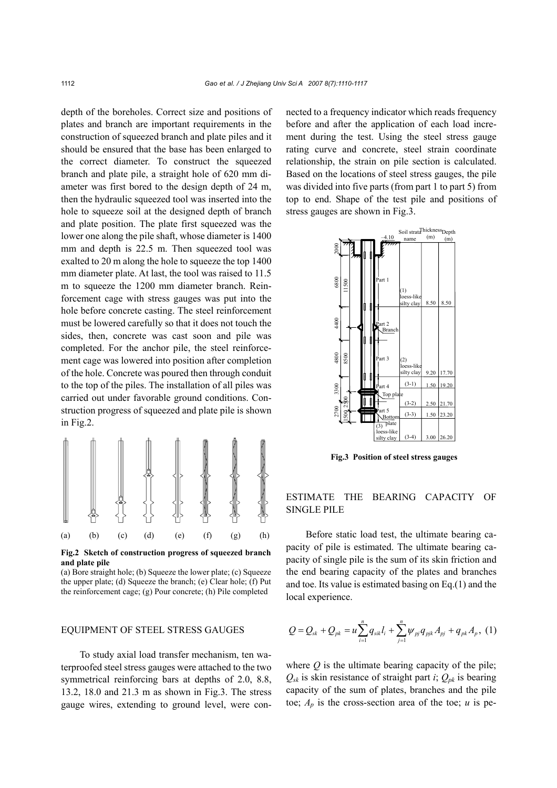depth of the boreholes. Correct size and positions of plates and branch are important requirements in the construction of squeezed branch and plate piles and it should be ensured that the base has been enlarged to the correct diameter. To construct the squeezed branch and plate pile, a straight hole of 620 mm diameter was first bored to the design depth of 24 m, then the hydraulic squeezed tool was inserted into the hole to squeeze soil at the designed depth of branch and plate position. The plate first squeezed was the lower one along the pile shaft, whose diameter is 1400 mm and depth is 22.5 m. Then squeezed tool was exalted to 20 m along the hole to squeeze the top 1400 mm diameter plate. At last, the tool was raised to 11.5 m to squeeze the 1200 mm diameter branch. Reinforcement cage with stress gauges was put into the hole before concrete casting. The steel reinforcement must be lowered carefully so that it does not touch the sides, then, concrete was cast soon and pile was completed. For the anchor pile, the steel reinforcement cage was lowered into position after completion of the hole. Concrete was poured then through conduit to the top of the piles. The installation of all piles was carried out under favorable ground conditions. Construction progress of squeezed and plate pile is shown in Fig.2.



**Fig.2 Sketch of construction progress of squeezed branch and plate pile** 

(a) Bore straight hole; (b) Squeeze the lower plate; (c) Squeeze the upper plate; (d) Squeeze the branch; (e) Clear hole; (f) Put the reinforcement cage; (g) Pour concrete; (h) Pile completed

### EQUIPMENT OF STEEL STRESS GAUGES

To study axial load transfer mechanism, ten waterproofed steel stress gauges were attached to the two symmetrical reinforcing bars at depths of 2.0, 8.8, 13.2, 18.0 and 21.3 m as shown in Fig.3. The stress gauge wires, extending to ground level, were connected to a frequency indicator which reads frequency before and after the application of each load increment during the test. Using the steel stress gauge rating curve and concrete, steel strain coordinate relationship, the strain on pile section is calculated. Based on the locations of steel stress gauges, the pile was divided into five parts (from part 1 to part 5) from top to end. Shape of the test pile and positions of stress gauges are shown in Fig.3.



**Fig.3 Position of steel stress gauges**

# ESTIMATE THE BEARING CAPACITY OF SINGLE PILE

Before static load test, the ultimate bearing capacity of pile is estimated. The ultimate bearing capacity of single pile is the sum of its skin friction and the end bearing capacity of the plates and branches and toe. Its value is estimated basing on Eq.(1) and the local experience.

$$
Q = Q_{sk} + Q_{pk} = u \sum_{i=1}^{n} q_{sik} l_i + \sum_{j=1}^{n} \psi_{pj} q_{pjk} A_{pj} + q_{pk} A_p, (1)
$$

where  $Q$  is the ultimate bearing capacity of the pile;  $Q_{sk}$  is skin resistance of straight part *i*;  $Q_{pk}$  is bearing capacity of the sum of plates, branches and the pile toe;  $A_p$  is the cross-section area of the toe;  $u$  is pe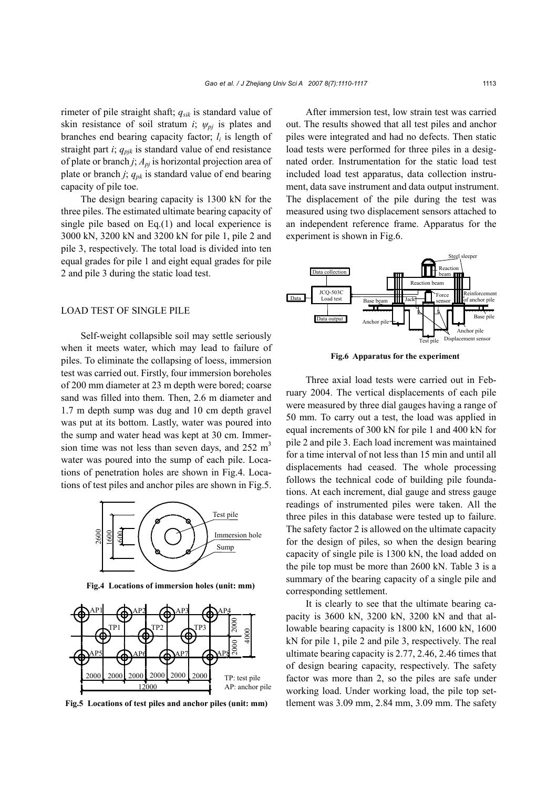rimeter of pile straight shaft; *qsik* is standard value of skin resistance of soil stratum *i*;  $\psi_{pi}$  is plates and branches end bearing capacity factor; *li* is length of straight part  $i$ ;  $q_{pjk}$  is standard value of end resistance of plate or branch *j*; *Apj* is horizontal projection area of plate or branch *j*; *qpk* is standard value of end bearing capacity of pile toe.

The design bearing capacity is 1300 kN for the three piles. The estimated ultimate bearing capacity of single pile based on Eq.(1) and local experience is 3000 kN, 3200 kN and 3200 kN for pile 1, pile 2 and pile 3, respectively. The total load is divided into ten equal grades for pile 1 and eight equal grades for pile 2 and pile 3 during the static load test.

#### LOAD TEST OF SINGLE PILE

Self-weight collapsible soil may settle seriously when it meets water, which may lead to failure of piles. To eliminate the collapsing of loess, immersion test was carried out. Firstly, four immersion boreholes of 200 mm diameter at 23 m depth were bored; coarse sand was filled into them. Then, 2.6 m diameter and 1.7 m depth sump was dug and 10 cm depth gravel was put at its bottom. Lastly, water was poured into the sump and water head was kept at 30 cm. Immersion time was not less than seven days, and  $252 \text{ m}^3$ water was poured into the sump of each pile. Locations of penetration holes are shown in Fig.4. Locations of test piles and anchor piles are shown in Fig.5.



**Fig.4 Locations of immersion holes (unit: mm)**



**Fig.5 Locations of test piles and anchor piles (unit: mm)**

After immersion test, low strain test was carried out. The results showed that all test piles and anchor piles were integrated and had no defects. Then static load tests were performed for three piles in a designated order. Instrumentation for the static load test included load test apparatus, data collection instrument, data save instrument and data output instrument. The displacement of the pile during the test was measured using two displacement sensors attached to an independent reference frame. Apparatus for the experiment is shown in Fig.6.



**Fig.6 Apparatus for the experiment**

Three axial load tests were carried out in February 2004. The vertical displacements of each pile were measured by three dial gauges having a range of 50 mm. To carry out a test, the load was applied in equal increments of 300 kN for pile 1 and 400 kN for pile 2 and pile 3. Each load increment was maintained for a time interval of not less than 15 min and until all displacements had ceased. The whole processing follows the technical code of building pile foundations. At each increment, dial gauge and stress gauge readings of instrumented piles were taken. All the three piles in this database were tested up to failure. The safety factor 2 is allowed on the ultimate capacity for the design of piles, so when the design bearing capacity of single pile is 1300 kN, the load added on the pile top must be more than 2600 kN. Table 3 is a summary of the bearing capacity of a single pile and corresponding settlement.

It is clearly to see that the ultimate bearing capacity is 3600 kN, 3200 kN, 3200 kN and that allowable bearing capacity is 1800 kN, 1600 kN, 1600 kN for pile 1, pile 2 and pile 3, respectively. The real ultimate bearing capacity is 2.77, 2.46, 2.46 times that of design bearing capacity, respectively. The safety factor was more than 2, so the piles are safe under working load. Under working load, the pile top settlement was 3.09 mm, 2.84 mm, 3.09 mm. The safety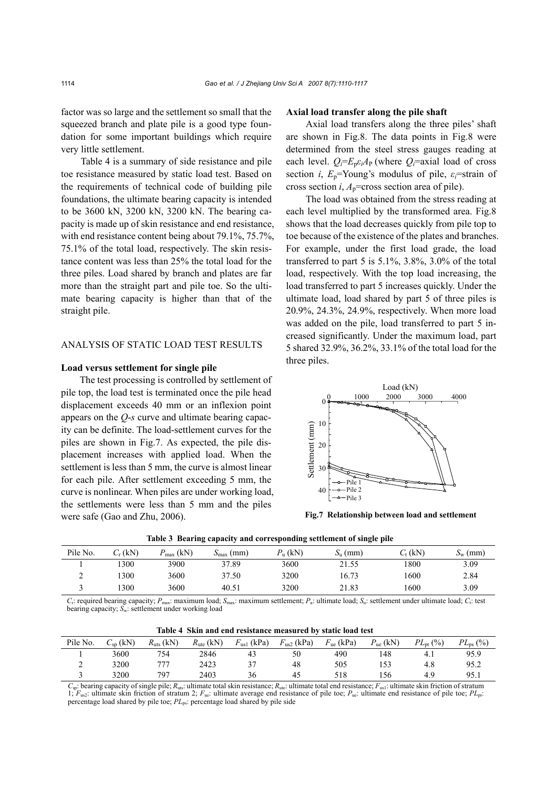factor was so large and the settlement so small that the squeezed branch and plate pile is a good type foundation for some important buildings which require very little settlement.

Table 4 is a summary of side resistance and pile toe resistance measured by static load test. Based on the requirements of technical code of building pile foundations, the ultimate bearing capacity is intended to be 3600 kN, 3200 kN, 3200 kN. The bearing capacity is made up of skin resistance and end resistance, with end resistance content being about 79.1%, 75.7%, 75.1% of the total load, respectively. The skin resistance content was less than 25% the total load for the three piles. Load shared by branch and plates are far more than the straight part and pile toe. So the ultimate bearing capacity is higher than that of the straight pile.

## ANALYSIS OF STATIC LOAD TEST RESULTS

## **Load versus settlement for single pile**

The test processing is controlled by settlement of pile top, the load test is terminated once the pile head displacement exceeds 40 mm or an inflexion point appears on the *Q*-*s* curve and ultimate bearing capacity can be definite. The load-settlement curves for the piles are shown in Fig.7. As expected, the pile displacement increases with applied load. When the settlement is less than 5 mm, the curve is almost linear for each pile. After settlement exceeding 5 mm, the curve is nonlinear. When piles are under working load, the settlements were less than 5 mm and the piles were safe (Gao and Zhu, 2006).

#### **Axial load transfer along the pile shaft**

Axial load transfers along the three piles' shaft are shown in Fig.8. The data points in Fig.8 were determined from the steel stress gauges reading at each level.  $Q_i = E_p \varepsilon_i A_p$  (where  $Q_i =$ axial load of cross section *i*,  $E_p$ =Young's modulus of pile,  $\varepsilon_i$ =strain of cross section *i*,  $A_p$ =cross section area of pile).

The load was obtained from the stress reading at each level multiplied by the transformed area. Fig.8 shows that the load decreases quickly from pile top to toe because of the existence of the plates and branches. For example, under the first load grade, the load transferred to part 5 is  $5.1\%$ ,  $3.8\%$ ,  $3.0\%$  of the total load, respectively. With the top load increasing, the load transferred to part 5 increases quickly. Under the ultimate load, load shared by part 5 of three piles is 20.9%, 24.3%, 24.9%, respectively. When more load was added on the pile, load transferred to part 5 increased significantly. Under the maximum load, part 5 shared 32.9%, 36.2%, 33.1% of the total load for the three piles.



**Fig.7 Relationship between load and settlement**

|          |            |                       | $\overline{\phantom{a}}$ | $\overline{\phantom{a}}$ | ້          |                  |                  |
|----------|------------|-----------------------|--------------------------|--------------------------|------------|------------------|------------------|
| Pile No. | (kN)<br>◡▾ | $P_{\text{max}}$ (kN) | $S_{\text{max}}$ (mm)    | $P_{\rm n}$ (kN)         | $S_n$ (mm) | $C_{\rm t}$ (kN) | $S_{\rm w}$ (mm) |
|          | 1300       | 3900                  | 37.89                    | 3600                     | 21.55      | 1800             | 3.09             |
|          | 1300       | 3600                  | 37.50                    | 3200                     | 16.73      | 1600             | 2.84             |
|          | 300        | 3600                  | 40.51                    | 3200                     | 21.83      | 1600             | 3.09             |

#### **Table 3 Bearing capacity and corresponding settlement of single pile**

*C*r: required bearing capacity; *P*max: maximum load; *S*max: maximum settlement; *P*u: ultimate load; *S*u: settlement under ultimate load; *C*t: test bearing capacity;  $S_w$ : settlement under working load

| Pile No. | $C_{\rm sp}$ (kN) | $R_{uts}$ (kN) | $R_{\text{ute}}\text{ (kN)}$ | $F_{us1}$ (kPa) | $F_{us2}$ (kPa) | $F_{ue}$ (kPa) | $P_{\text{ue}}(\text{kN})$ | $PL_{\text{pt}}(\%)$ | $PL_{\text{ps}}(\%)$ |
|----------|-------------------|----------------|------------------------------|-----------------|-----------------|----------------|----------------------------|----------------------|----------------------|
|          | 3600              | 754            | 2846                         | 43              | 50              | 490            | 148                        |                      | 95.9                 |
|          | 3200              | 777            | 2423                         |                 | 48              | 505            | 153                        | 4.8                  | 95.2                 |
|          | 3200              | 797            | 2403                         | 36              | 45              | 518            | 156                        | 4.9                  | 95.1                 |

**Table 4 Skin and end resistance measured by static load test**

*C*sp: bearing capacity of single pile; *R*uts: ultimate total skin resistance; *R*ute: ultimate total end resistance; *F*us1: ultimate skin friction of stratum 1; *F*us2: ultimate skin friction of stratum 2; *F*ue: ultimate average end resistance of pile toe; *P*ue: ultimate end resistance of pile toe; *PL*pt: percentage load shared by pile toe; *PL*ps: percentage load shared by pile side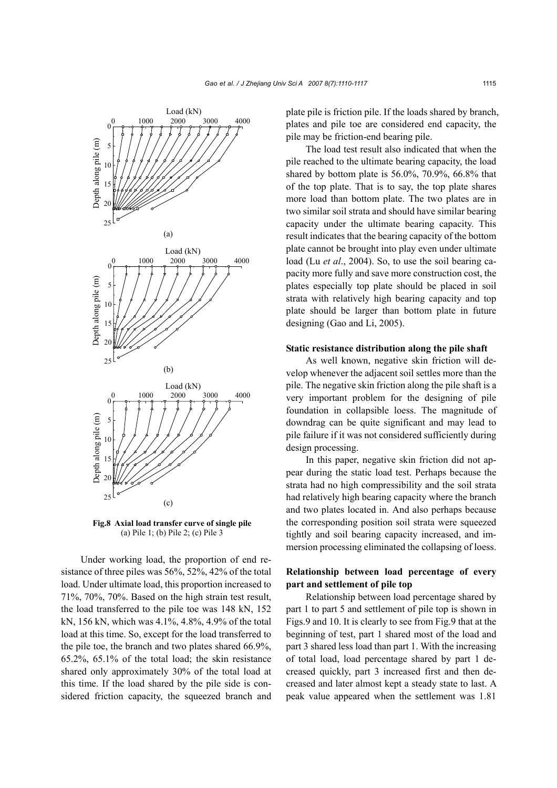

**Fig.8 Axial load transfer curve of single pile**  (a) Pile 1; (b) Pile 2; (c) Pile 3

Under working load, the proportion of end resistance of three piles was 56%, 52%, 42% of the total load. Under ultimate load, this proportion increased to 71%, 70%, 70%. Based on the high strain test result, the load transferred to the pile toe was 148 kN, 152 kN, 156 kN, which was 4.1%, 4.8%, 4.9% of the total load at this time. So, except for the load transferred to the pile toe, the branch and two plates shared 66.9%, 65.2%, 65.1% of the total load; the skin resistance shared only approximately 30% of the total load at this time. If the load shared by the pile side is considered friction capacity, the squeezed branch and plate pile is friction pile. If the loads shared by branch, plates and pile toe are considered end capacity, the pile may be friction-end bearing pile.

The load test result also indicated that when the pile reached to the ultimate bearing capacity, the load shared by bottom plate is 56.0%, 70.9%, 66.8% that of the top plate. That is to say, the top plate shares more load than bottom plate. The two plates are in two similar soil strata and should have similar bearing capacity under the ultimate bearing capacity. This result indicates that the bearing capacity of the bottom plate cannot be brought into play even under ultimate load (Lu *et al*., 2004). So, to use the soil bearing capacity more fully and save more construction cost, the plates especially top plate should be placed in soil strata with relatively high bearing capacity and top plate should be larger than bottom plate in future designing (Gao and Li, 2005).

#### **Static resistance distribution along the pile shaft**

As well known, negative skin friction will develop whenever the adjacent soil settles more than the pile. The negative skin friction along the pile shaft is a very important problem for the designing of pile foundation in collapsible loess. The magnitude of downdrag can be quite significant and may lead to pile failure if it was not considered sufficiently during design processing.

In this paper, negative skin friction did not appear during the static load test. Perhaps because the strata had no high compressibility and the soil strata had relatively high bearing capacity where the branch and two plates located in. And also perhaps because the corresponding position soil strata were squeezed tightly and soil bearing capacity increased, and immersion processing eliminated the collapsing of loess.

## **Relationship between load percentage of every part and settlement of pile top**

Relationship between load percentage shared by part 1 to part 5 and settlement of pile top is shown in Figs.9 and 10. It is clearly to see from Fig.9 that at the beginning of test, part 1 shared most of the load and part 3 shared less load than part 1. With the increasing of total load, load percentage shared by part 1 decreased quickly, part 3 increased first and then decreased and later almost kept a steady state to last. A peak value appeared when the settlement was 1.81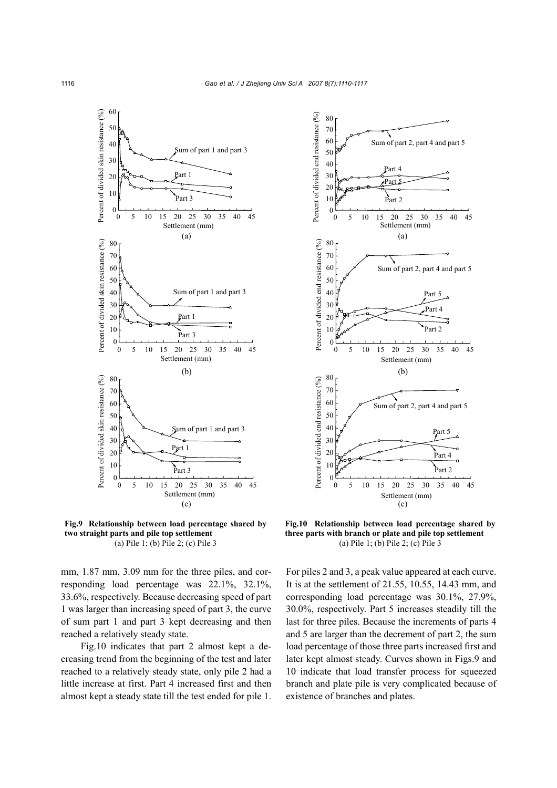

**Fig.9 Relationship between load percentage shared by two straight parts and pile top settlement**  (a) Pile 1; (b) Pile 2; (c) Pile 3

mm,  $1.87$  mm,  $3.09$  mm for the three piles, and corresponding load percentage was 22.1%, 32.1%, 33.6%, respectively. Because decreasing speed of part 1 was larger than increasing speed of part 3, the curve of sum part 1 and part 3 kept decreasing and then reached a relatively steady state.

Fig.10 indicates that part 2 almost kept a decreasing trend from the beginning of the test and later reached to a relatively steady state, only pile 2 had a little increase at first. Part 4 increased first and then almost kept a steady state till the test ended for pile 1.



**Fig.10 Relationship between load percentage shared by three parts with branch or plate and pile top settlement**  (a) Pile 1; (b) Pile 2; (c) Pile 3

For piles 2 and 3, a peak value appeared at each curve. It is at the settlement of 21.55, 10.55, 14.43 mm, and corresponding load percentage was 30.1%, 27.9%, 30.0%, respectively. Part 5 increases steadily till the last for three piles. Because the increments of parts 4 and 5 are larger than the decrement of part 2, the sum load percentage of those three parts increased first and later kept almost steady. Curves shown in Figs.9 and 10 indicate that load transfer process for squeezed branch and plate pile is very complicated because of existence of branches and plates.